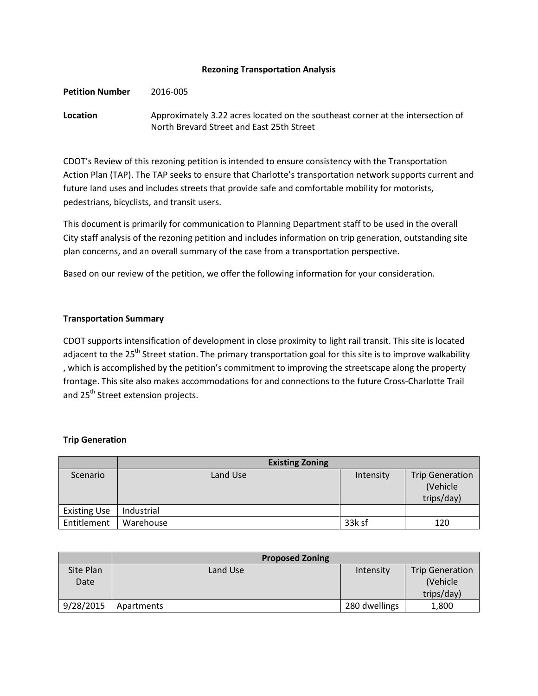### **Rezoning Transportation Analysis**

**Petition Number** 2016-005

**Location** Approximately 3.22 acres located on the southeast corner at the intersection of North Brevard Street and East 25th Street

CDOT's Review of this rezoning petition is intended to ensure consistency with the Transportation Action Plan (TAP). The TAP seeks to ensure that Charlotte's transportation network supports current and future land uses and includes streets that provide safe and comfortable mobility for motorists, pedestrians, bicyclists, and transit users.

This document is primarily for communication to Planning Department staff to be used in the overall City staff analysis of the rezoning petition and includes information on trip generation, outstanding site plan concerns, and an overall summary of the case from a transportation perspective.

Based on our review of the petition, we offer the following information for your consideration.

### **Transportation Summary**

CDOT supports intensification of development in close proximity to light rail transit. This site is located adjacent to the 25<sup>th</sup> Street station. The primary transportation goal for this site is to improve walkability , which is accomplished by the petition's commitment to improving the streetscape along the property frontage. This site also makes accommodations for and connections to the future Cross-Charlotte Trail and 25<sup>th</sup> Street extension projects.

# **Trip Generation**

|                     | <b>Existing Zoning</b> |           |                                                  |
|---------------------|------------------------|-----------|--------------------------------------------------|
| Scenario            | Land Use               | Intensity | <b>Trip Generation</b><br>(Vehicle<br>trips/day) |
| <b>Existing Use</b> | Industrial             |           |                                                  |
| Entitlement         | Warehouse              | 33k sf    | 120                                              |

|                   | <b>Proposed Zoning</b> |               |                                                   |
|-------------------|------------------------|---------------|---------------------------------------------------|
| Site Plan<br>Date | Land Use               | Intensity     | <b>Trip Generation</b><br>(Vehicle)<br>trips/day) |
| 9/28/2015         | Apartments             | 280 dwellings | 1,800                                             |